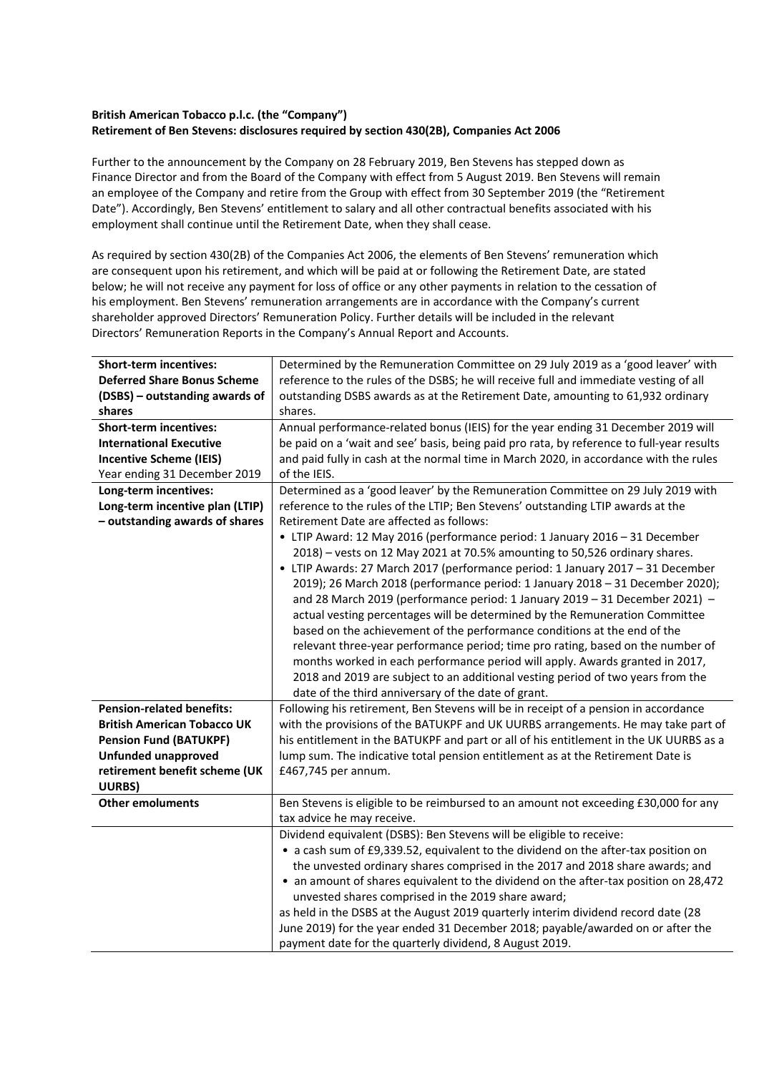## **British American Tobacco p.l.c. (the "Company") Retirement of Ben Stevens: disclosures required by section 430(2B), Companies Act 2006**

Further to the announcement by the Company on 28 February 2019, Ben Stevens has stepped down as Finance Director and from the Board of the Company with effect from 5 August 2019. Ben Stevens will remain an employee of the Company and retire from the Group with effect from 30 September 2019 (the "Retirement Date"). Accordingly, Ben Stevens' entitlement to salary and all other contractual benefits associated with his employment shall continue until the Retirement Date, when they shall cease.

As required by section 430(2B) of the Companies Act 2006, the elements of Ben Stevens' remuneration which are consequent upon his retirement, and which will be paid at or following the Retirement Date, are stated below; he will not receive any payment for loss of office or any other payments in relation to the cessation of his employment. Ben Stevens' remuneration arrangements are in accordance with the Company's current shareholder approved Directors' Remuneration Policy. Further details will be included in the relevant Directors' Remuneration Reports in the Company's Annual Report and Accounts.

| <b>Short-term incentives:</b>      | Determined by the Remuneration Committee on 29 July 2019 as a 'good leaver' with          |
|------------------------------------|-------------------------------------------------------------------------------------------|
| <b>Deferred Share Bonus Scheme</b> | reference to the rules of the DSBS; he will receive full and immediate vesting of all     |
| (DSBS) - outstanding awards of     | outstanding DSBS awards as at the Retirement Date, amounting to 61,932 ordinary           |
| shares                             | shares.                                                                                   |
| <b>Short-term incentives:</b>      | Annual performance-related bonus (IEIS) for the year ending 31 December 2019 will         |
| <b>International Executive</b>     | be paid on a 'wait and see' basis, being paid pro rata, by reference to full-year results |
| <b>Incentive Scheme (IEIS)</b>     | and paid fully in cash at the normal time in March 2020, in accordance with the rules     |
| Year ending 31 December 2019       | of the IEIS.                                                                              |
| Long-term incentives:              | Determined as a 'good leaver' by the Remuneration Committee on 29 July 2019 with          |
| Long-term incentive plan (LTIP)    | reference to the rules of the LTIP; Ben Stevens' outstanding LTIP awards at the           |
| - outstanding awards of shares     | Retirement Date are affected as follows:                                                  |
|                                    | • LTIP Award: 12 May 2016 (performance period: 1 January 2016 - 31 December               |
|                                    | 2018) - vests on 12 May 2021 at 70.5% amounting to 50,526 ordinary shares.                |
|                                    | • LTIP Awards: 27 March 2017 (performance period: 1 January 2017 - 31 December            |
|                                    | 2019); 26 March 2018 (performance period: 1 January 2018 - 31 December 2020);             |
|                                    | and 28 March 2019 (performance period: 1 January 2019 - 31 December 2021) -               |
|                                    | actual vesting percentages will be determined by the Remuneration Committee               |
|                                    | based on the achievement of the performance conditions at the end of the                  |
|                                    | relevant three-year performance period; time pro rating, based on the number of           |
|                                    | months worked in each performance period will apply. Awards granted in 2017,              |
|                                    | 2018 and 2019 are subject to an additional vesting period of two years from the           |
|                                    | date of the third anniversary of the date of grant.                                       |
| <b>Pension-related benefits:</b>   | Following his retirement, Ben Stevens will be in receipt of a pension in accordance       |
| <b>British American Tobacco UK</b> | with the provisions of the BATUKPF and UK UURBS arrangements. He may take part of         |
| <b>Pension Fund (BATUKPF)</b>      | his entitlement in the BATUKPF and part or all of his entitlement in the UK UURBS as a    |
| <b>Unfunded unapproved</b>         | lump sum. The indicative total pension entitlement as at the Retirement Date is           |
| retirement benefit scheme (UK      | £467,745 per annum.                                                                       |
| UURBS)                             |                                                                                           |
| <b>Other emoluments</b>            | Ben Stevens is eligible to be reimbursed to an amount not exceeding £30,000 for any       |
|                                    | tax advice he may receive.                                                                |
|                                    | Dividend equivalent (DSBS): Ben Stevens will be eligible to receive:                      |
|                                    | • a cash sum of £9,339.52, equivalent to the dividend on the after-tax position on        |
|                                    | the unvested ordinary shares comprised in the 2017 and 2018 share awards; and             |
|                                    | • an amount of shares equivalent to the dividend on the after-tax position on 28,472      |
|                                    | unvested shares comprised in the 2019 share award;                                        |
|                                    | as held in the DSBS at the August 2019 quarterly interim dividend record date (28         |
|                                    | June 2019) for the year ended 31 December 2018; payable/awarded on or after the           |
|                                    | payment date for the quarterly dividend, 8 August 2019.                                   |